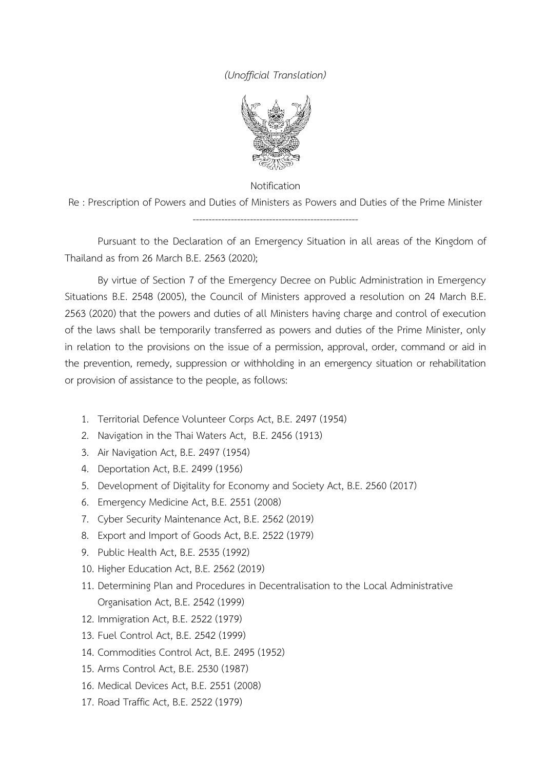## *(Unofficial Translation)*



Notification

Re : Prescription of Powers and Duties of Ministers as Powers and Duties of the Prime Minister ----------------------------------------------------

Pursuant to the Declaration of an Emergency Situation in all areas of the Kingdom of Thailand as from 26 March B.E. 2563 (2020);

By virtue of Section 7 of the Emergency Decree on Public Administration in Emergency Situations B.E. 2548 (2005), the Council of Ministers approved a resolution on 24 March B.E. 2563 (2020) that the powers and duties of all Ministers having charge and control of execution of the laws shall be temporarily transferred as powers and duties of the Prime Minister, only in relation to the provisions on the issue of a permission, approval, order, command or aid in the prevention, remedy, suppression or withholding in an emergency situation or rehabilitation or provision of assistance to the people, as follows:

- 1. Territorial Defence Volunteer Corps Act, B.E. 2497 (1954)
- 2. Navigation in the Thai Waters Act, B.E. 2456 (1913)
- 3. Air Navigation Act, B.E. 2497 (1954)
- 4. Deportation Act, B.E. 2499 (1956)
- 5. Development of Digitality for Economy and Society Act, B.E. 2560 (2017)
- 6. Emergency Medicine Act, B.E. 2551 (2008)
- 7. Cyber Security Maintenance Act, B.E. 2562 (2019)
- 8. Export and Import of Goods Act, B.E. 2522 (1979)
- 9. Public Health Act, B.E. 2535 (1992)
- 10. Higher Education Act, B.E. 2562 (2019)
- 11. Determining Plan and Procedures in Decentralisation to the Local Administrative Organisation Act, B.E. 2542 (1999)
- 12. Immigration Act, B.E. 2522 (1979)
- 13. Fuel Control Act, B.E. 2542 (1999)
- 14. Commodities Control Act, B.E. 2495 (1952)
- 15. Arms Control Act, B.E. 2530 (1987)
- 16. Medical Devices Act, B.E. 2551 (2008)
- 17. Road Traffic Act, B.E. 2522 (1979)